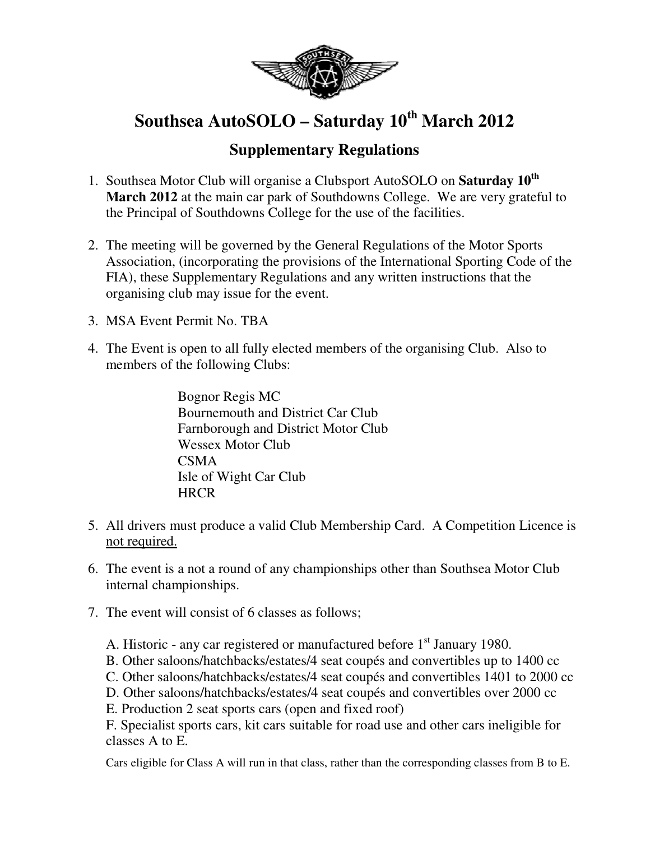

## **Southsea AutoSOLO – Saturday 10th March 2012**

## **Supplementary Regulations**

- 1. Southsea Motor Club will organise a Clubsport AutoSOLO on **Saturday 10th March 2012** at the main car park of Southdowns College. We are very grateful to the Principal of Southdowns College for the use of the facilities.
- 2. The meeting will be governed by the General Regulations of the Motor Sports Association, (incorporating the provisions of the International Sporting Code of the FIA), these Supplementary Regulations and any written instructions that the organising club may issue for the event.
- 3. MSA Event Permit No. TBA
- 4. The Event is open to all fully elected members of the organising Club. Also to members of the following Clubs:

Bognor Regis MC Bournemouth and District Car Club Farnborough and District Motor Club Wessex Motor Club CSMA Isle of Wight Car Club **HRCR** 

- 5. All drivers must produce a valid Club Membership Card. A Competition Licence is not required.
- 6. The event is a not a round of any championships other than Southsea Motor Club internal championships.
- 7. The event will consist of 6 classes as follows;
	- A. Historic any car registered or manufactured before  $1<sup>st</sup>$  January 1980.
	- B. Other saloons/hatchbacks/estates/4 seat coupés and convertibles up to 1400 cc
	- C. Other saloons/hatchbacks/estates/4 seat coupés and convertibles 1401 to 2000 cc
	- D. Other saloons/hatchbacks/estates/4 seat coupés and convertibles over 2000 cc
	- E. Production 2 seat sports cars (open and fixed roof)

F. Specialist sports cars, kit cars suitable for road use and other cars ineligible for classes A to E.

Cars eligible for Class A will run in that class, rather than the corresponding classes from B to E.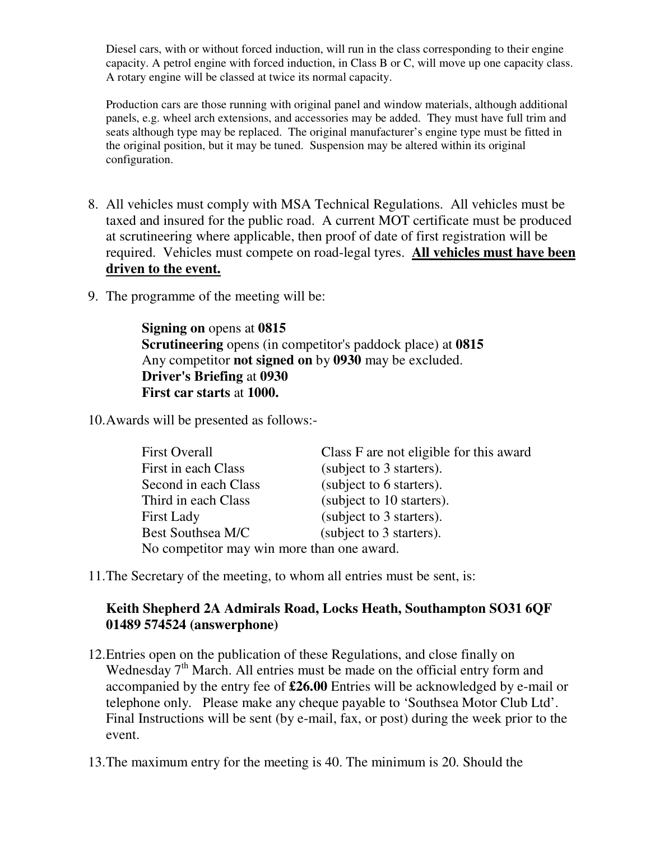Diesel cars, with or without forced induction, will run in the class corresponding to their engine capacity. A petrol engine with forced induction, in Class B or C, will move up one capacity class. A rotary engine will be classed at twice its normal capacity.

Production cars are those running with original panel and window materials, although additional panels, e.g. wheel arch extensions, and accessories may be added. They must have full trim and seats although type may be replaced. The original manufacturer's engine type must be fitted in the original position, but it may be tuned. Suspension may be altered within its original configuration.

- 8. All vehicles must comply with MSA Technical Regulations. All vehicles must be taxed and insured for the public road. A current MOT certificate must be produced at scrutineering where applicable, then proof of date of first registration will be required. Vehicles must compete on road-legal tyres. **All vehicles must have been driven to the event.**
- 9. The programme of the meeting will be:

**Signing on** opens at **0815 Scrutineering** opens (in competitor's paddock place) at **0815** Any competitor **not signed on** by **0930** may be excluded. **Driver's Briefing** at **0930 First car starts** at **1000.** 

10.Awards will be presented as follows:-

| First in each Class<br>(subject to 3 starters).<br>(subject to 6 starters).<br>Second in each Class<br>(subject to 10 starters).<br>Third in each Class<br>(subject to 3 starters).<br><b>First Lady</b><br>(subject to 3 starters).<br>Best Southsea M/C | <b>First Overall</b>                       | Class F are not eligible for this award |  |
|-----------------------------------------------------------------------------------------------------------------------------------------------------------------------------------------------------------------------------------------------------------|--------------------------------------------|-----------------------------------------|--|
|                                                                                                                                                                                                                                                           |                                            |                                         |  |
|                                                                                                                                                                                                                                                           |                                            |                                         |  |
|                                                                                                                                                                                                                                                           |                                            |                                         |  |
|                                                                                                                                                                                                                                                           |                                            |                                         |  |
|                                                                                                                                                                                                                                                           |                                            |                                         |  |
|                                                                                                                                                                                                                                                           | No competitor may win more than one award. |                                         |  |

11.The Secretary of the meeting, to whom all entries must be sent, is:

## **Keith Shepherd 2A Admirals Road, Locks Heath, Southampton SO31 6QF 01489 574524 (answerphone)**

- 12.Entries open on the publication of these Regulations, and close finally on Wednesday 7<sup>th</sup> March. All entries must be made on the official entry form and accompanied by the entry fee of **£26.00** Entries will be acknowledged by e-mail or telephone only. Please make any cheque payable to 'Southsea Motor Club Ltd'. Final Instructions will be sent (by e-mail, fax, or post) during the week prior to the event.
- 13.The maximum entry for the meeting is 40. The minimum is 20. Should the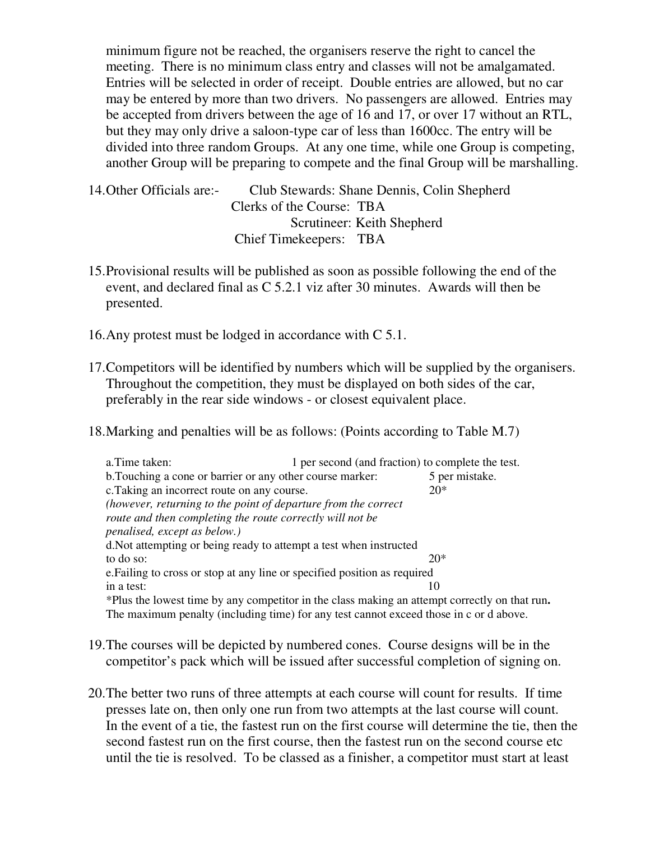minimum figure not be reached, the organisers reserve the right to cancel the meeting. There is no minimum class entry and classes will not be amalgamated. Entries will be selected in order of receipt. Double entries are allowed, but no car may be entered by more than two drivers. No passengers are allowed. Entries may be accepted from drivers between the age of 16 and 17, or over 17 without an RTL, but they may only drive a saloon-type car of less than 1600cc. The entry will be divided into three random Groups. At any one time, while one Group is competing, another Group will be preparing to compete and the final Group will be marshalling.

- 14.Other Officials are:- Club Stewards: Shane Dennis, Colin Shepherd Clerks of the Course: TBA Scrutineer: Keith Shepherd Chief Timekeepers: TBA
- 15.Provisional results will be published as soon as possible following the end of the event, and declared final as C 5.2.1 viz after 30 minutes. Awards will then be presented.
- 16.Any protest must be lodged in accordance with C 5.1.
- 17.Competitors will be identified by numbers which will be supplied by the organisers. Throughout the competition, they must be displayed on both sides of the car, preferably in the rear side windows - or closest equivalent place.
- 18.Marking and penalties will be as follows: (Points according to Table M.7)

| a. Time taken:                                                                                | 1 per second (and fraction) to complete the test. |                |
|-----------------------------------------------------------------------------------------------|---------------------------------------------------|----------------|
| b. Touching a cone or barrier or any other course marker:                                     |                                                   | 5 per mistake. |
| c. Taking an incorrect route on any course.                                                   |                                                   | $20*$          |
| (however, returning to the point of departure from the correct                                |                                                   |                |
| route and then completing the route correctly will not be                                     |                                                   |                |
| penalised, except as below.)                                                                  |                                                   |                |
| d. Not attempting or being ready to attempt a test when instructed                            |                                                   |                |
| to do so:                                                                                     |                                                   | $20*$          |
| e. Failing to cross or stop at any line or specified position as required                     |                                                   |                |
| in a test:                                                                                    |                                                   | 10             |
| *Plus the lowest time by any competitor in the class making an attempt correctly on that run. |                                                   |                |
| The maximum penalty (including time) for any test cannot exceed those in c or d above.        |                                                   |                |

- 19.The courses will be depicted by numbered cones. Course designs will be in the competitor's pack which will be issued after successful completion of signing on.
- 20.The better two runs of three attempts at each course will count for results. If time presses late on, then only one run from two attempts at the last course will count. In the event of a tie, the fastest run on the first course will determine the tie, then the second fastest run on the first course, then the fastest run on the second course etc until the tie is resolved. To be classed as a finisher, a competitor must start at least